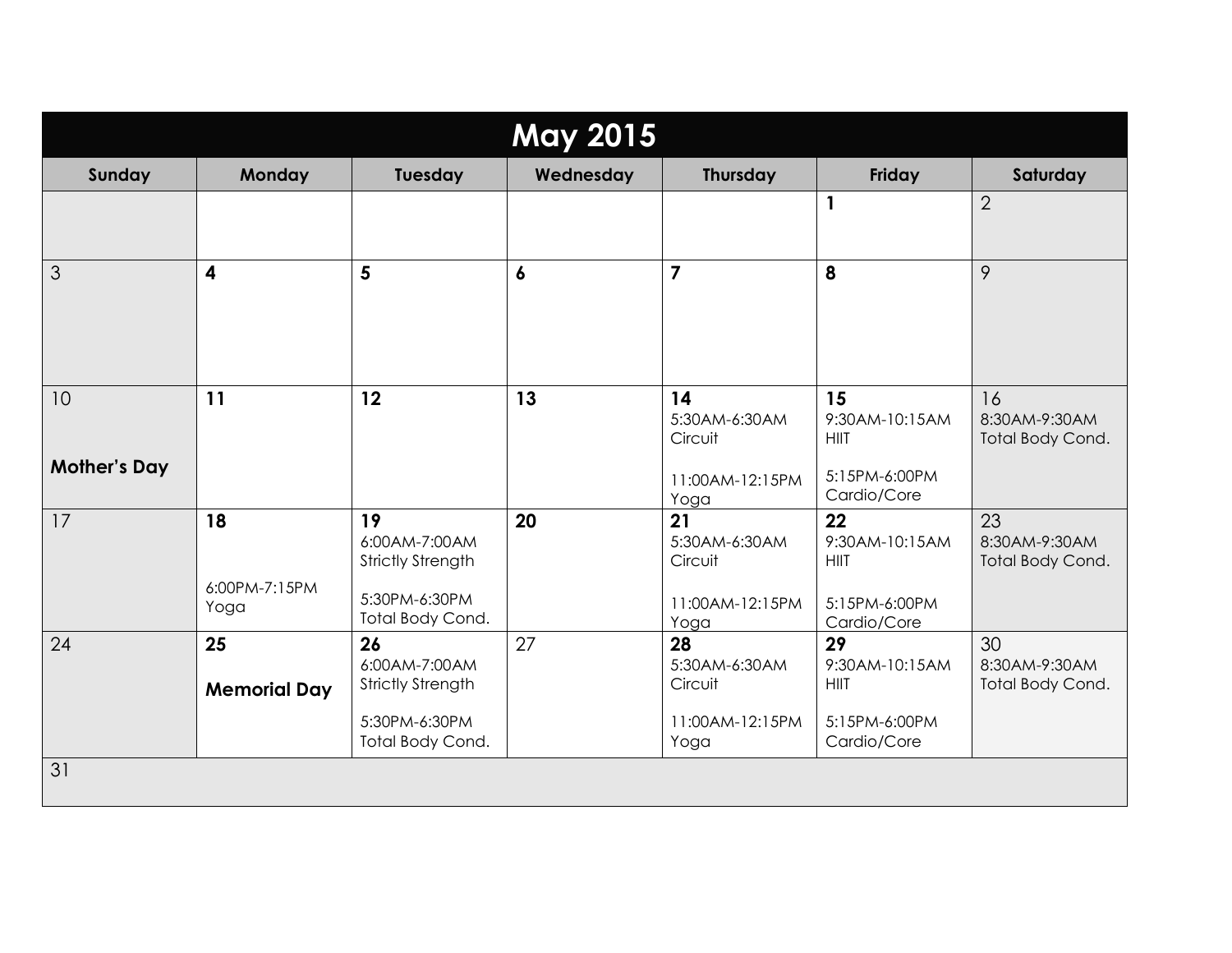| <b>May 2015</b>           |                             |                                                                                      |                  |                                                           |                                                                     |                                         |
|---------------------------|-----------------------------|--------------------------------------------------------------------------------------|------------------|-----------------------------------------------------------|---------------------------------------------------------------------|-----------------------------------------|
| Sunday                    | Monday                      | Tuesday                                                                              | Wednesday        | Thursday                                                  | Friday                                                              | Saturday                                |
|                           |                             |                                                                                      |                  |                                                           | 1                                                                   | $\overline{2}$                          |
| 3                         | $\overline{\mathbf{4}}$     | 5                                                                                    | $\boldsymbol{6}$ | $\overline{7}$                                            | 8                                                                   | 9                                       |
| 10<br><b>Mother's Day</b> | 11                          | 12                                                                                   | 13               | 14<br>5:30AM-6:30AM<br>Circuit<br>11:00AM-12:15PM<br>Yoga | 15<br>9:30AM-10:15AM<br><b>HIIT</b><br>5:15PM-6:00PM<br>Cardio/Core | 16<br>8:30AM-9:30AM<br>Total Body Cond. |
| 17                        | 18<br>6:00PM-7:15PM<br>Yoga | 19<br>6:00AM-7:00AM<br><b>Strictly Strength</b><br>5:30PM-6:30PM<br>Total Body Cond. | 20               | 21<br>5:30AM-6:30AM<br>Circuit<br>11:00AM-12:15PM<br>Yoga | 22<br>9:30AM-10:15AM<br><b>HIIT</b><br>5:15PM-6:00PM<br>Cardio/Core | 23<br>8:30AM-9:30AM<br>Total Body Cond. |
| 24                        | 25<br><b>Memorial Day</b>   | 26<br>6:00AM-7:00AM<br><b>Strictly Strength</b><br>5:30PM-6:30PM<br>Total Body Cond. | 27               | 28<br>5:30AM-6:30AM<br>Circuit<br>11:00AM-12:15PM<br>Yoga | 29<br>9:30AM-10:15AM<br><b>HIIT</b><br>5:15PM-6:00PM<br>Cardio/Core | 30<br>8:30AM-9:30AM<br>Total Body Cond. |
| 31                        |                             |                                                                                      |                  |                                                           |                                                                     |                                         |